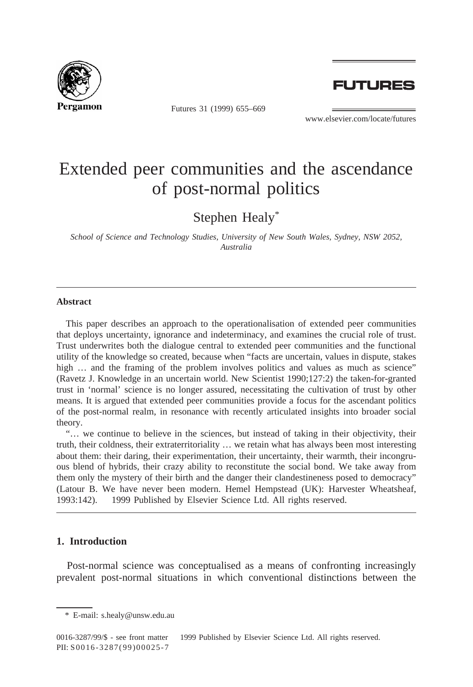

Futures 31 (1999) 655–669



www.elsevier.com/locate/futures

# Extended peer communities and the ascendance of post-normal politics

Stephen Healy\*

*School of Science and Technology Studies, University of New South Wales, Sydney, NSW 2052, Australia*

#### **Abstract**

This paper describes an approach to the operationalisation of extended peer communities that deploys uncertainty, ignorance and indeterminacy, and examines the crucial role of trust. Trust underwrites both the dialogue central to extended peer communities and the functional utility of the knowledge so created, because when "facts are uncertain, values in dispute, stakes high ... and the framing of the problem involves politics and values as much as science" (Ravetz J. Knowledge in an uncertain world. New Scientist 1990;127:2) the taken-for-granted trust in 'normal' science is no longer assured, necessitating the cultivation of trust by other means. It is argued that extended peer communities provide a focus for the ascendant politics of the post-normal realm, in resonance with recently articulated insights into broader social theory.

"… we continue to believe in the sciences, but instead of taking in their objectivity, their truth, their coldness, their extraterritoriality … we retain what has always been most interesting about them: their daring, their experimentation, their uncertainty, their warmth, their incongruous blend of hybrids, their crazy ability to reconstitute the social bond. We take away from them only the mystery of their birth and the danger their clandestineness posed to democracy" (Latour B. We have never been modern. Hemel Hempstead (UK): Harvester Wheatsheaf, 1993:142). © 1999 Published by Elsevier Science Ltd. All rights reserved.

## **1. Introduction**

Post-normal science was conceptualised as a means of confronting increasingly prevalent post-normal situations in which conventional distinctions between the

<sup>\*</sup> E-mail: s.healy@unsw.edu.au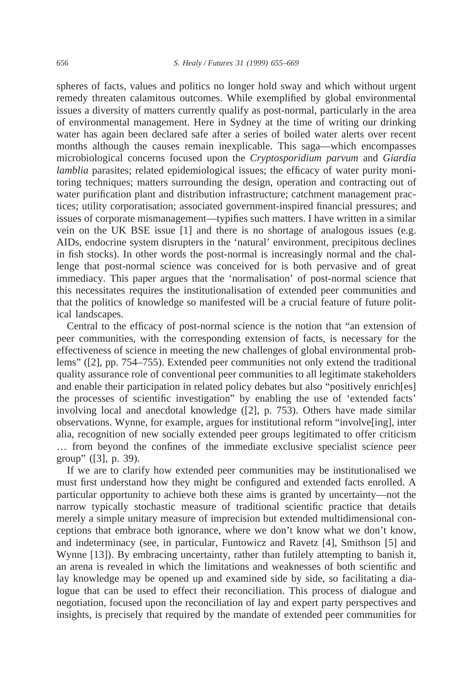spheres of facts, values and politics no longer hold sway and which without urgent remedy threaten calamitous outcomes. While exemplified by global environmental issues a diversity of matters currently qualify as post-normal, particularly in the area of environmental management. Here in Sydney at the time of writing our drinking water has again been declared safe after a series of boiled water alerts over recent months although the causes remain inexplicable. This saga—which encompasses microbiological concerns focused upon the *Cryptosporidium parvum* and *Giardia lamblia* parasites; related epidemiological issues; the efficacy of water purity monitoring techniques; matters surrounding the design, operation and contracting out of water purification plant and distribution infrastructure; catchment management practices; utility corporatisation; associated government-inspired financial pressures; and issues of corporate mismanagement—typifies such matters. I have written in a similar vein on the UK BSE issue [1] and there is no shortage of analogous issues (e.g. AIDs, endocrine system disrupters in the 'natural' environment, precipitous declines in fish stocks). In other words the post-normal is increasingly normal and the challenge that post-normal science was conceived for is both pervasive and of great immediacy. This paper argues that the 'normalisation' of post-normal science that this necessitates requires the institutionalisation of extended peer communities and that the politics of knowledge so manifested will be a crucial feature of future political landscapes.

Central to the efficacy of post-normal science is the notion that "an extension of peer communities, with the corresponding extension of facts, is necessary for the effectiveness of science in meeting the new challenges of global environmental problems" ([2], pp. 754–755). Extended peer communities not only extend the traditional quality assurance role of conventional peer communities to all legitimate stakeholders and enable their participation in related policy debates but also "positively enrich[es] the processes of scientific investigation" by enabling the use of 'extended facts' involving local and anecdotal knowledge ([2], p. 753). Others have made similar observations. Wynne, for example, argues for institutional reform "involve [ing], inter alia, recognition of new socially extended peer groups legitimated to offer criticism … from beyond the confines of the immediate exclusive specialist science peer group" ([3], p. 39).

If we are to clarify how extended peer communities may be institutionalised we must first understand how they might be configured and extended facts enrolled. A particular opportunity to achieve both these aims is granted by uncertainty—not the narrow typically stochastic measure of traditional scientific practice that details merely a simple unitary measure of imprecision but extended multidimensional conceptions that embrace both ignorance, where we don't know what we don't know, and indeterminacy (see, in particular, Funtowicz and Ravetz [4], Smithson [5] and Wynne [13]). By embracing uncertainty, rather than futilely attempting to banish it, an arena is revealed in which the limitations and weaknesses of both scientific and lay knowledge may be opened up and examined side by side, so facilitating a dialogue that can be used to effect their reconciliation. This process of dialogue and negotiation, focused upon the reconciliation of lay and expert party perspectives and insights, is precisely that required by the mandate of extended peer communities for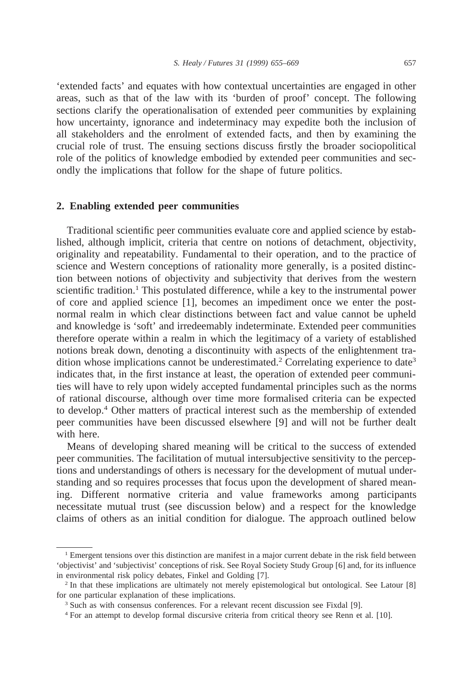'extended facts' and equates with how contextual uncertainties are engaged in other areas, such as that of the law with its 'burden of proof' concept. The following sections clarify the operationalisation of extended peer communities by explaining how uncertainty, ignorance and indeterminacy may expedite both the inclusion of all stakeholders and the enrolment of extended facts, and then by examining the crucial role of trust. The ensuing sections discuss firstly the broader sociopolitical role of the politics of knowledge embodied by extended peer communities and secondly the implications that follow for the shape of future politics.

#### **2. Enabling extended peer communities**

Traditional scientific peer communities evaluate core and applied science by established, although implicit, criteria that centre on notions of detachment, objectivity, originality and repeatability. Fundamental to their operation, and to the practice of science and Western conceptions of rationality more generally, is a posited distinction between notions of objectivity and subjectivity that derives from the western scientific tradition.<sup>1</sup> This postulated difference, while a key to the instrumental power of core and applied science [1], becomes an impediment once we enter the postnormal realm in which clear distinctions between fact and value cannot be upheld and knowledge is 'soft' and irredeemably indeterminate. Extended peer communities therefore operate within a realm in which the legitimacy of a variety of established notions break down, denoting a discontinuity with aspects of the enlightenment tradition whose implications cannot be underestimated.<sup>2</sup> Correlating experience to date<sup>3</sup> indicates that, in the first instance at least, the operation of extended peer communities will have to rely upon widely accepted fundamental principles such as the norms of rational discourse, although over time more formalised criteria can be expected to develop.4 Other matters of practical interest such as the membership of extended peer communities have been discussed elsewhere [9] and will not be further dealt with here.

Means of developing shared meaning will be critical to the success of extended peer communities. The facilitation of mutual intersubjective sensitivity to the perceptions and understandings of others is necessary for the development of mutual understanding and so requires processes that focus upon the development of shared meaning. Different normative criteria and value frameworks among participants necessitate mutual trust (see discussion below) and a respect for the knowledge claims of others as an initial condition for dialogue. The approach outlined below

<sup>&</sup>lt;sup>1</sup> Emergent tensions over this distinction are manifest in a major current debate in the risk field between 'objectivist' and 'subjectivist' conceptions of risk. See Royal Society Study Group [6] and, for its influence in environmental risk policy debates, Finkel and Golding [7].

<sup>2</sup> In that these implications are ultimately not merely epistemological but ontological. See Latour [8] for one particular explanation of these implications.

<sup>&</sup>lt;sup>3</sup> Such as with consensus conferences. For a relevant recent discussion see Fixdal [9].

<sup>4</sup> For an attempt to develop formal discursive criteria from critical theory see Renn et al. [10].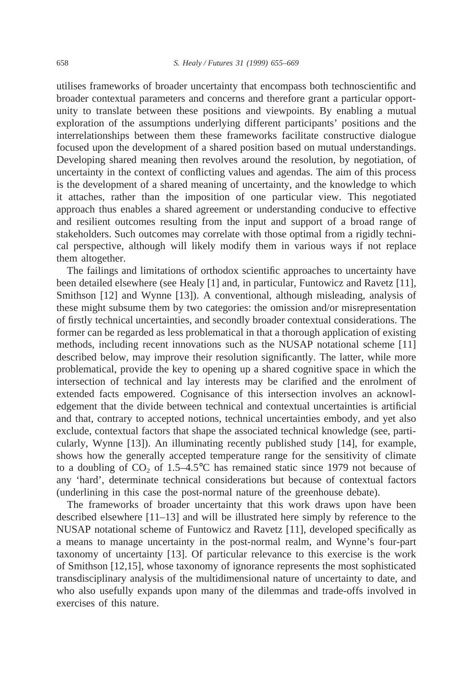utilises frameworks of broader uncertainty that encompass both technoscientific and broader contextual parameters and concerns and therefore grant a particular opportunity to translate between these positions and viewpoints. By enabling a mutual exploration of the assumptions underlying different participants' positions and the interrelationships between them these frameworks facilitate constructive dialogue focused upon the development of a shared position based on mutual understandings. Developing shared meaning then revolves around the resolution, by negotiation, of uncertainty in the context of conflicting values and agendas. The aim of this process is the development of a shared meaning of uncertainty, and the knowledge to which it attaches, rather than the imposition of one particular view. This negotiated approach thus enables a shared agreement or understanding conducive to effective and resilient outcomes resulting from the input and support of a broad range of stakeholders. Such outcomes may correlate with those optimal from a rigidly technical perspective, although will likely modify them in various ways if not replace them altogether.

The failings and limitations of orthodox scientific approaches to uncertainty have been detailed elsewhere (see Healy [1] and, in particular, Funtowicz and Ravetz [11], Smithson [12] and Wynne [13]). A conventional, although misleading, analysis of these might subsume them by two categories: the omission and/or misrepresentation of firstly technical uncertainties, and secondly broader contextual considerations. The former can be regarded as less problematical in that a thorough application of existing methods, including recent innovations such as the NUSAP notational scheme [11] described below, may improve their resolution significantly. The latter, while more problematical, provide the key to opening up a shared cognitive space in which the intersection of technical and lay interests may be clarified and the enrolment of extended facts empowered. Cognisance of this intersection involves an acknowledgement that the divide between technical and contextual uncertainties is artificial and that, contrary to accepted notions, technical uncertainties embody, and yet also exclude, contextual factors that shape the associated technical knowledge (see, particularly, Wynne [13]). An illuminating recently published study [14], for example, shows how the generally accepted temperature range for the sensitivity of climate to a doubling of  $CO_2$  of 1.5–4.5°C has remained static since 1979 not because of any 'hard', determinate technical considerations but because of contextual factors (underlining in this case the post-normal nature of the greenhouse debate).

The frameworks of broader uncertainty that this work draws upon have been described elsewhere [11–13] and will be illustrated here simply by reference to the NUSAP notational scheme of Funtowicz and Ravetz [11], developed specifically as a means to manage uncertainty in the post-normal realm, and Wynne's four-part taxonomy of uncertainty [13]. Of particular relevance to this exercise is the work of Smithson [12,15], whose taxonomy of ignorance represents the most sophisticated transdisciplinary analysis of the multidimensional nature of uncertainty to date, and who also usefully expands upon many of the dilemmas and trade-offs involved in exercises of this nature.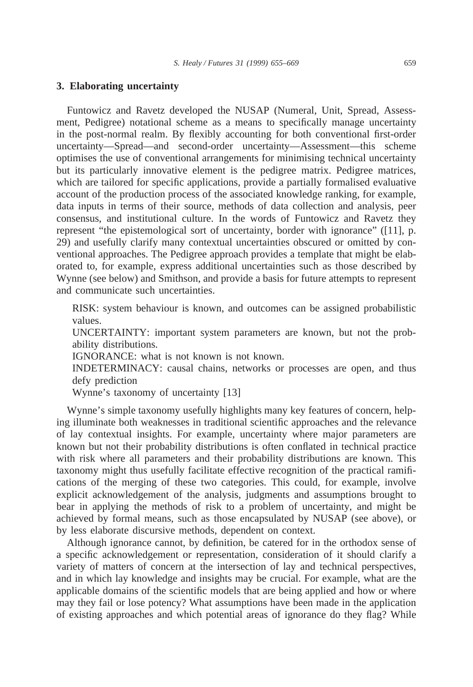#### **3. Elaborating uncertainty**

Funtowicz and Ravetz developed the NUSAP (Numeral, Unit, Spread, Assessment, Pedigree) notational scheme as a means to specifically manage uncertainty in the post-normal realm. By flexibly accounting for both conventional first-order uncertainty—Spread—and second-order uncertainty—Assessment—this scheme optimises the use of conventional arrangements for minimising technical uncertainty but its particularly innovative element is the pedigree matrix. Pedigree matrices, which are tailored for specific applications, provide a partially formalised evaluative account of the production process of the associated knowledge ranking, for example, data inputs in terms of their source, methods of data collection and analysis, peer consensus, and institutional culture. In the words of Funtowicz and Ravetz they represent "the epistemological sort of uncertainty, border with ignorance" ([11], p. 29) and usefully clarify many contextual uncertainties obscured or omitted by conventional approaches. The Pedigree approach provides a template that might be elaborated to, for example, express additional uncertainties such as those described by Wynne (see below) and Smithson, and provide a basis for future attempts to represent and communicate such uncertainties.

RISK: system behaviour is known, and outcomes can be assigned probabilistic values.

UNCERTAINTY: important system parameters are known, but not the probability distributions.

IGNORANCE: what is not known is not known.

INDETERMINACY: causal chains, networks or processes are open, and thus defy prediction

Wynne's taxonomy of uncertainty [13]

Wynne's simple taxonomy usefully highlights many key features of concern, helping illuminate both weaknesses in traditional scientific approaches and the relevance of lay contextual insights. For example, uncertainty where major parameters are known but not their probability distributions is often conflated in technical practice with risk where all parameters and their probability distributions are known. This taxonomy might thus usefully facilitate effective recognition of the practical ramifications of the merging of these two categories. This could, for example, involve explicit acknowledgement of the analysis, judgments and assumptions brought to bear in applying the methods of risk to a problem of uncertainty, and might be achieved by formal means, such as those encapsulated by NUSAP (see above), or by less elaborate discursive methods, dependent on context.

Although ignorance cannot, by definition, be catered for in the orthodox sense of a specific acknowledgement or representation, consideration of it should clarify a variety of matters of concern at the intersection of lay and technical perspectives, and in which lay knowledge and insights may be crucial. For example, what are the applicable domains of the scientific models that are being applied and how or where may they fail or lose potency? What assumptions have been made in the application of existing approaches and which potential areas of ignorance do they flag? While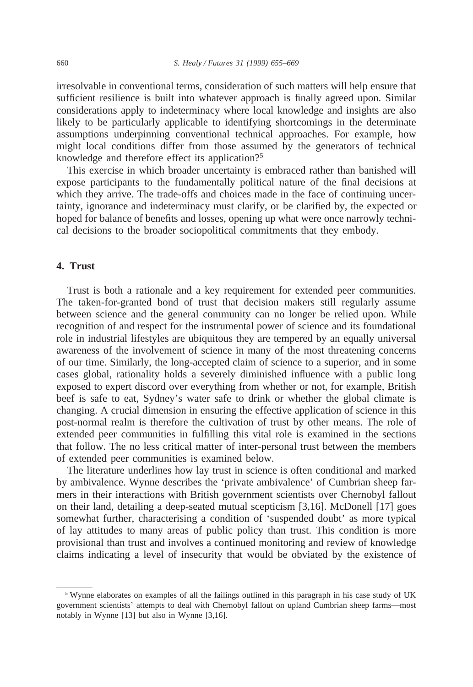irresolvable in conventional terms, consideration of such matters will help ensure that sufficient resilience is built into whatever approach is finally agreed upon. Similar considerations apply to indeterminacy where local knowledge and insights are also likely to be particularly applicable to identifying shortcomings in the determinate assumptions underpinning conventional technical approaches. For example, how might local conditions differ from those assumed by the generators of technical knowledge and therefore effect its application?<sup>5</sup>

This exercise in which broader uncertainty is embraced rather than banished will expose participants to the fundamentally political nature of the final decisions at which they arrive. The trade-offs and choices made in the face of continuing uncertainty, ignorance and indeterminacy must clarify, or be clarified by, the expected or hoped for balance of benefits and losses, opening up what were once narrowly technical decisions to the broader sociopolitical commitments that they embody.

#### **4. Trust**

Trust is both a rationale and a key requirement for extended peer communities. The taken-for-granted bond of trust that decision makers still regularly assume between science and the general community can no longer be relied upon. While recognition of and respect for the instrumental power of science and its foundational role in industrial lifestyles are ubiquitous they are tempered by an equally universal awareness of the involvement of science in many of the most threatening concerns of our time. Similarly, the long-accepted claim of science to a superior, and in some cases global, rationality holds a severely diminished influence with a public long exposed to expert discord over everything from whether or not, for example, British beef is safe to eat, Sydney's water safe to drink or whether the global climate is changing. A crucial dimension in ensuring the effective application of science in this post-normal realm is therefore the cultivation of trust by other means. The role of extended peer communities in fulfilling this vital role is examined in the sections that follow. The no less critical matter of inter-personal trust between the members of extended peer communities is examined below.

The literature underlines how lay trust in science is often conditional and marked by ambivalence. Wynne describes the 'private ambivalence' of Cumbrian sheep farmers in their interactions with British government scientists over Chernobyl fallout on their land, detailing a deep-seated mutual scepticism [3,16]. McDonell [17] goes somewhat further, characterising a condition of 'suspended doubt' as more typical of lay attitudes to many areas of public policy than trust. This condition is more provisional than trust and involves a continued monitoring and review of knowledge claims indicating a level of insecurity that would be obviated by the existence of

<sup>5</sup> Wynne elaborates on examples of all the failings outlined in this paragraph in his case study of UK government scientists' attempts to deal with Chernobyl fallout on upland Cumbrian sheep farms—most notably in Wynne [13] but also in Wynne [3,16].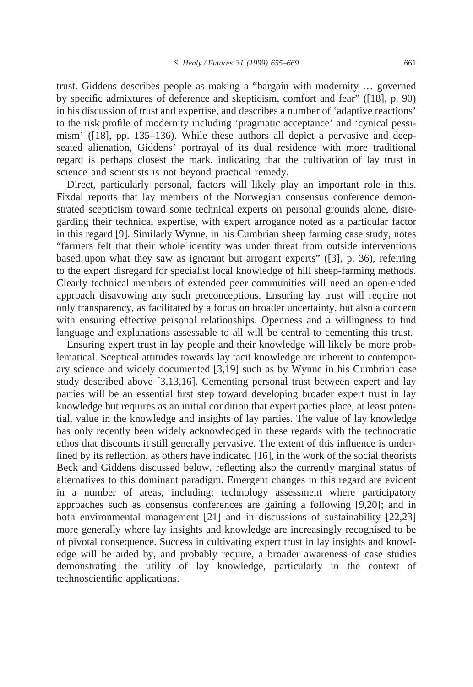trust. Giddens describes people as making a "bargain with modernity … governed by specific admixtures of deference and skepticism, comfort and fear" ([18], p. 90) in his discussion of trust and expertise, and describes a number of 'adaptive reactions' to the risk profile of modernity including 'pragmatic acceptance' and 'cynical pessimism' ([18], pp. 135–136). While these authors all depict a pervasive and deepseated alienation, Giddens' portrayal of its dual residence with more traditional regard is perhaps closest the mark, indicating that the cultivation of lay trust in science and scientists is not beyond practical remedy.

Direct, particularly personal, factors will likely play an important role in this. Fixdal reports that lay members of the Norwegian consensus conference demonstrated scepticism toward some technical experts on personal grounds alone, disregarding their technical expertise, with expert arrogance noted as a particular factor in this regard [9]. Similarly Wynne, in his Cumbrian sheep farming case study, notes "farmers felt that their whole identity was under threat from outside interventions based upon what they saw as ignorant but arrogant experts" ([3], p. 36), referring to the expert disregard for specialist local knowledge of hill sheep-farming methods. Clearly technical members of extended peer communities will need an open-ended approach disavowing any such preconceptions. Ensuring lay trust will require not only transparency, as facilitated by a focus on broader uncertainty, but also a concern with ensuring effective personal relationships. Openness and a willingness to find language and explanations assessable to all will be central to cementing this trust.

Ensuring expert trust in lay people and their knowledge will likely be more problematical. Sceptical attitudes towards lay tacit knowledge are inherent to contemporary science and widely documented [3,19] such as by Wynne in his Cumbrian case study described above [3,13,16]. Cementing personal trust between expert and lay parties will be an essential first step toward developing broader expert trust in lay knowledge but requires as an initial condition that expert parties place, at least potential, value in the knowledge and insights of lay parties. The value of lay knowledge has only recently been widely acknowledged in these regards with the technocratic ethos that discounts it still generally pervasive. The extent of this influence is underlined by its reflection, as others have indicated [16], in the work of the social theorists Beck and Giddens discussed below, reflecting also the currently marginal status of alternatives to this dominant paradigm. Emergent changes in this regard are evident in a number of areas, including: technology assessment where participatory approaches such as consensus conferences are gaining a following [9,20]; and in both environmental management [21] and in discussions of sustainability [22,23] more generally where lay insights and knowledge are increasingly recognised to be of pivotal consequence. Success in cultivating expert trust in lay insights and knowledge will be aided by, and probably require, a broader awareness of case studies demonstrating the utility of lay knowledge, particularly in the context of technoscientific applications.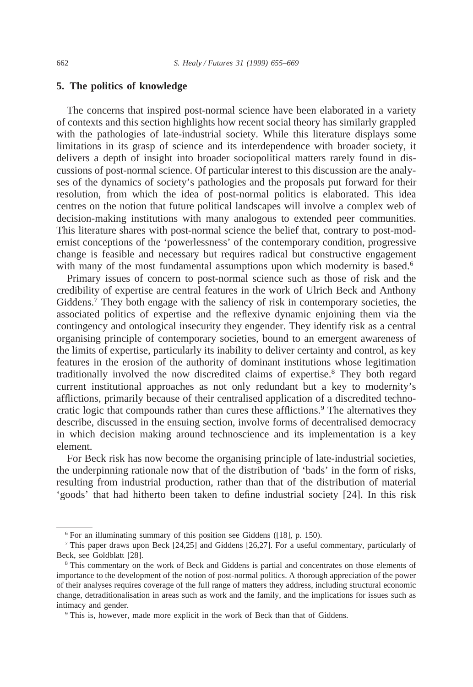### **5. The politics of knowledge**

The concerns that inspired post-normal science have been elaborated in a variety of contexts and this section highlights how recent social theory has similarly grappled with the pathologies of late-industrial society. While this literature displays some limitations in its grasp of science and its interdependence with broader society, it delivers a depth of insight into broader sociopolitical matters rarely found in discussions of post-normal science. Of particular interest to this discussion are the analyses of the dynamics of society's pathologies and the proposals put forward for their resolution, from which the idea of post-normal politics is elaborated. This idea centres on the notion that future political landscapes will involve a complex web of decision-making institutions with many analogous to extended peer communities. This literature shares with post-normal science the belief that, contrary to post-modernist conceptions of the 'powerlessness' of the contemporary condition, progressive change is feasible and necessary but requires radical but constructive engagement with many of the most fundamental assumptions upon which modernity is based.<sup>6</sup>

Primary issues of concern to post-normal science such as those of risk and the credibility of expertise are central features in the work of Ulrich Beck and Anthony Giddens.<sup>7</sup> They both engage with the saliency of risk in contemporary societies, the associated politics of expertise and the reflexive dynamic enjoining them via the contingency and ontological insecurity they engender. They identify risk as a central organising principle of contemporary societies, bound to an emergent awareness of the limits of expertise, particularly its inability to deliver certainty and control, as key features in the erosion of the authority of dominant institutions whose legitimation traditionally involved the now discredited claims of expertise.<sup>8</sup> They both regard current institutional approaches as not only redundant but a key to modernity's afflictions, primarily because of their centralised application of a discredited technocratic logic that compounds rather than cures these afflictions.<sup>9</sup> The alternatives they describe, discussed in the ensuing section, involve forms of decentralised democracy in which decision making around technoscience and its implementation is a key element.

For Beck risk has now become the organising principle of late-industrial societies, the underpinning rationale now that of the distribution of 'bads' in the form of risks, resulting from industrial production, rather than that of the distribution of material 'goods' that had hitherto been taken to define industrial society [24]. In this risk

<sup>6</sup> For an illuminating summary of this position see Giddens ([18], p. 150).

<sup>&</sup>lt;sup>7</sup> This paper draws upon Beck  $[24,25]$  and Giddens  $[26,27]$ . For a useful commentary, particularly of Beck, see Goldblatt [28].

<sup>&</sup>lt;sup>8</sup> This commentary on the work of Beck and Giddens is partial and concentrates on those elements of importance to the development of the notion of post-normal politics. A thorough appreciation of the power of their analyses requires coverage of the full range of matters they address, including structural economic change, detraditionalisation in areas such as work and the family, and the implications for issues such as intimacy and gender.

<sup>&</sup>lt;sup>9</sup> This is, however, made more explicit in the work of Beck than that of Giddens.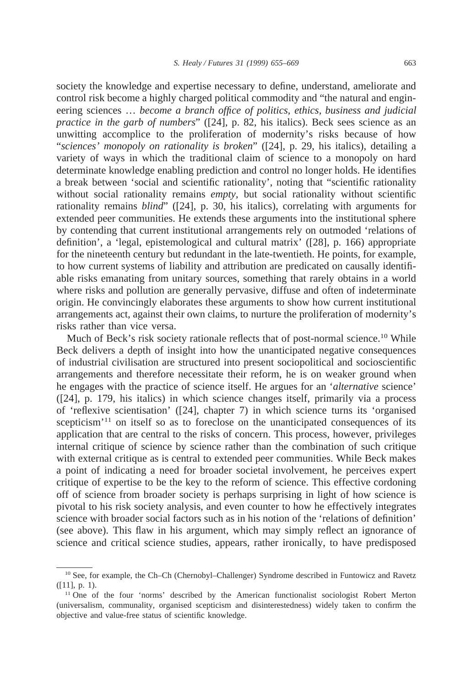society the knowledge and expertise necessary to define, understand, ameliorate and control risk become a highly charged political commodity and "the natural and engineering sciences … *become a branch office of politics, ethics, business and judicial practice in the garb of numbers*" ([24], p. 82, his italics). Beck sees science as an unwitting accomplice to the proliferation of modernity's risks because of how "*sciences' monopoly on rationality is broken*" ([24], p. 29, his italics), detailing a variety of ways in which the traditional claim of science to a monopoly on hard determinate knowledge enabling prediction and control no longer holds. He identifies a break between 'social and scientific rationality', noting that "scientific rationality without social rationality remains *empty*, but social rationality without scientific rationality remains *blind*" ([24], p. 30, his italics), correlating with arguments for extended peer communities. He extends these arguments into the institutional sphere by contending that current institutional arrangements rely on outmoded 'relations of definition', a 'legal, epistemological and cultural matrix' ([28], p. 166) appropriate for the nineteenth century but redundant in the late-twentieth. He points, for example, to how current systems of liability and attribution are predicated on causally identifiable risks emanating from unitary sources, something that rarely obtains in a world where risks and pollution are generally pervasive, diffuse and often of indeterminate origin. He convincingly elaborates these arguments to show how current institutional arrangements act, against their own claims, to nurture the proliferation of modernity's risks rather than vice versa.

Much of Beck's risk society rationale reflects that of post-normal science.<sup>10</sup> While Beck delivers a depth of insight into how the unanticipated negative consequences of industrial civilisation are structured into present sociopolitical and socioscientific arrangements and therefore necessitate their reform, he is on weaker ground when he engages with the practice of science itself. He argues for an '*alternative* science' ([24], p. 179, his italics) in which science changes itself, primarily via a process of 'reflexive scientisation' ([24], chapter 7) in which science turns its 'organised scepticism<sup>'11</sup> on itself so as to foreclose on the unanticipated consequences of its application that are central to the risks of concern. This process, however, privileges internal critique of science by science rather than the combination of such critique with external critique as is central to extended peer communities. While Beck makes a point of indicating a need for broader societal involvement, he perceives expert critique of expertise to be the key to the reform of science. This effective cordoning off of science from broader society is perhaps surprising in light of how science is pivotal to his risk society analysis, and even counter to how he effectively integrates science with broader social factors such as in his notion of the 'relations of definition' (see above). This flaw in his argument, which may simply reflect an ignorance of science and critical science studies, appears, rather ironically, to have predisposed

<sup>10</sup> See, for example, the Ch–Ch (Chernobyl–Challenger) Syndrome described in Funtowicz and Ravetz ([11], p. 1).

<sup>&</sup>lt;sup>11</sup> One of the four 'norms' described by the American functionalist sociologist Robert Merton (universalism, communality, organised scepticism and disinterestedness) widely taken to confirm the objective and value-free status of scientific knowledge.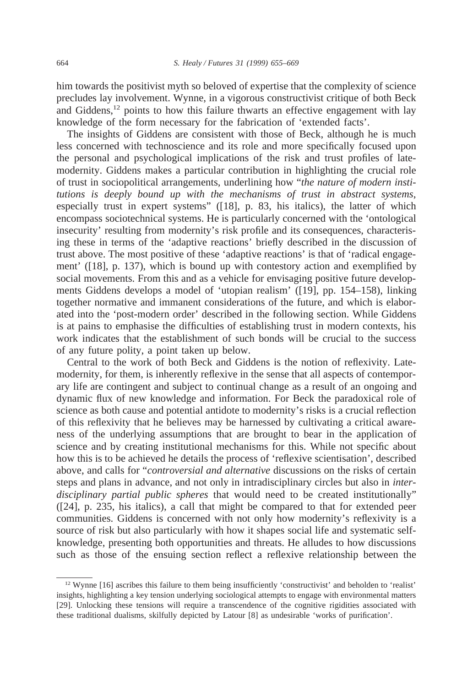him towards the positivist myth so beloved of expertise that the complexity of science precludes lay involvement. Wynne, in a vigorous constructivist critique of both Beck and Giddens,<sup>12</sup> points to how this failure thwarts an effective engagement with lay knowledge of the form necessary for the fabrication of 'extended facts'.

The insights of Giddens are consistent with those of Beck, although he is much less concerned with technoscience and its role and more specifically focused upon the personal and psychological implications of the risk and trust profiles of latemodernity. Giddens makes a particular contribution in highlighting the crucial role of trust in sociopolitical arrangements, underlining how "*the nature of modern institutions is deeply bound up with the mechanisms of trust in abstract systems*, especially trust in expert systems" ([18], p. 83, his italics), the latter of which encompass sociotechnical systems. He is particularly concerned with the 'ontological insecurity' resulting from modernity's risk profile and its consequences, characterising these in terms of the 'adaptive reactions' briefly described in the discussion of trust above. The most positive of these 'adaptive reactions' is that of 'radical engagement' ([18], p. 137), which is bound up with contestory action and exemplified by social movements. From this and as a vehicle for envisaging positive future developments Giddens develops a model of 'utopian realism' ([19], pp. 154–158), linking together normative and immanent considerations of the future, and which is elaborated into the 'post-modern order' described in the following section. While Giddens is at pains to emphasise the difficulties of establishing trust in modern contexts, his work indicates that the establishment of such bonds will be crucial to the success of any future polity, a point taken up below.

Central to the work of both Beck and Giddens is the notion of reflexivity. Latemodernity, for them, is inherently reflexive in the sense that all aspects of contemporary life are contingent and subject to continual change as a result of an ongoing and dynamic flux of new knowledge and information. For Beck the paradoxical role of science as both cause and potential antidote to modernity's risks is a crucial reflection of this reflexivity that he believes may be harnessed by cultivating a critical awareness of the underlying assumptions that are brought to bear in the application of science and by creating institutional mechanisms for this. While not specific about how this is to be achieved he details the process of 'reflexive scientisation', described above, and calls for "*controversial and alternative* discussions on the risks of certain steps and plans in advance, and not only in intradisciplinary circles but also in *interdisciplinary partial public spheres* that would need to be created institutionally" ([24], p. 235, his italics), a call that might be compared to that for extended peer communities. Giddens is concerned with not only how modernity's reflexivity is a source of risk but also particularly with how it shapes social life and systematic selfknowledge, presenting both opportunities and threats. He alludes to how discussions such as those of the ensuing section reflect a reflexive relationship between the

<sup>12</sup> Wynne [16] ascribes this failure to them being insufficiently 'constructivist' and beholden to 'realist' insights, highlighting a key tension underlying sociological attempts to engage with environmental matters [29]. Unlocking these tensions will require a transcendence of the cognitive rigidities associated with these traditional dualisms, skilfully depicted by Latour [8] as undesirable 'works of purification'.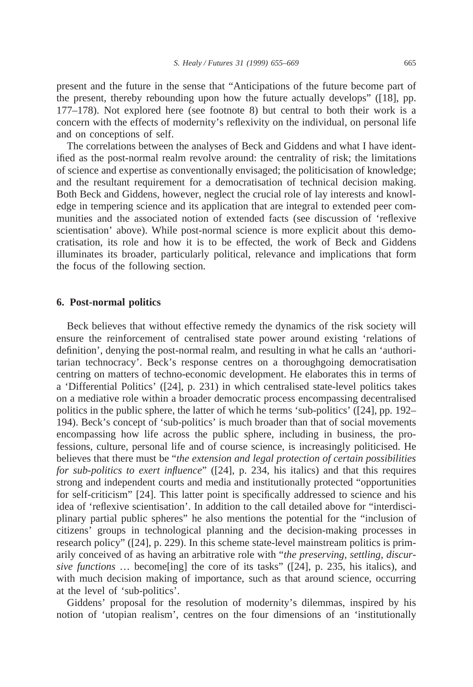present and the future in the sense that "Anticipations of the future become part of the present, thereby rebounding upon how the future actually develops" ([18], pp. 177–178). Not explored here (see footnote 8) but central to both their work is a concern with the effects of modernity's reflexivity on the individual, on personal life and on conceptions of self.

The correlations between the analyses of Beck and Giddens and what I have identified as the post-normal realm revolve around: the centrality of risk; the limitations of science and expertise as conventionally envisaged; the politicisation of knowledge; and the resultant requirement for a democratisation of technical decision making. Both Beck and Giddens, however, neglect the crucial role of lay interests and knowledge in tempering science and its application that are integral to extended peer communities and the associated notion of extended facts (see discussion of 'reflexive scientisation' above). While post-normal science is more explicit about this democratisation, its role and how it is to be effected, the work of Beck and Giddens illuminates its broader, particularly political, relevance and implications that form the focus of the following section.

#### **6. Post-normal politics**

Beck believes that without effective remedy the dynamics of the risk society will ensure the reinforcement of centralised state power around existing 'relations of definition', denying the post-normal realm, and resulting in what he calls an 'authoritarian technocracy'. Beck's response centres on a thoroughgoing democratisation centring on matters of techno-economic development. He elaborates this in terms of a 'Differential Politics' ([24], p. 231) in which centralised state-level politics takes on a mediative role within a broader democratic process encompassing decentralised politics in the public sphere, the latter of which he terms 'sub-politics' ([24], pp. 192– 194). Beck's concept of 'sub-politics' is much broader than that of social movements encompassing how life across the public sphere, including in business, the professions, culture, personal life and of course science, is increasingly politicised. He believes that there must be "*the extension and legal protection of certain possibilities for sub-politics to exert influence*" ([24], p. 234, his italics) and that this requires strong and independent courts and media and institutionally protected "opportunities for self-criticism" [24]. This latter point is specifically addressed to science and his idea of 'reflexive scientisation'. In addition to the call detailed above for "interdisciplinary partial public spheres" he also mentions the potential for the "inclusion of citizens' groups in technological planning and the decision-making processes in research policy" ([24], p. 229). In this scheme state-level mainstream politics is primarily conceived of as having an arbitrative role with "*the preserving, settling, discursive functions* … become[ing] the core of its tasks" ([24], p. 235, his italics), and with much decision making of importance, such as that around science, occurring at the level of 'sub-politics'.

Giddens' proposal for the resolution of modernity's dilemmas, inspired by his notion of 'utopian realism', centres on the four dimensions of an 'institutionally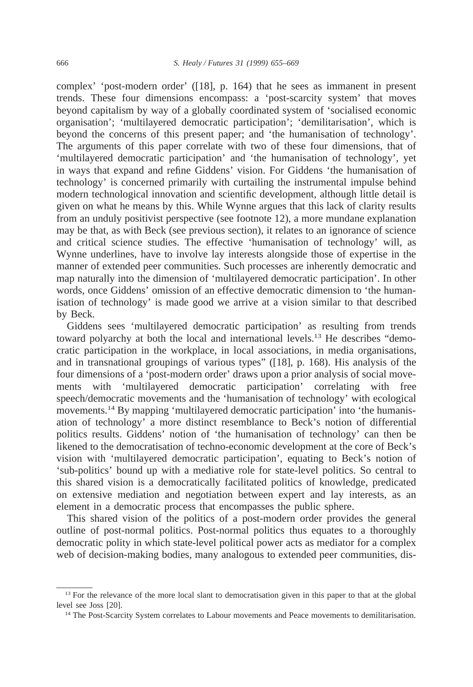complex' 'post-modern order' ([18], p. 164) that he sees as immanent in present trends. These four dimensions encompass: a 'post-scarcity system' that moves beyond capitalism by way of a globally coordinated system of 'socialised economic organisation'; 'multilayered democratic participation'; 'demilitarisation', which is beyond the concerns of this present paper; and 'the humanisation of technology'. The arguments of this paper correlate with two of these four dimensions, that of 'multilayered democratic participation' and 'the humanisation of technology', yet in ways that expand and refine Giddens' vision. For Giddens 'the humanisation of technology' is concerned primarily with curtailing the instrumental impulse behind modern technological innovation and scientific development, although little detail is given on what he means by this. While Wynne argues that this lack of clarity results from an unduly positivist perspective (see footnote 12), a more mundane explanation may be that, as with Beck (see previous section), it relates to an ignorance of science and critical science studies. The effective 'humanisation of technology' will, as Wynne underlines, have to involve lay interests alongside those of expertise in the manner of extended peer communities. Such processes are inherently democratic and map naturally into the dimension of 'multilayered democratic participation'. In other words, once Giddens' omission of an effective democratic dimension to 'the humanisation of technology' is made good we arrive at a vision similar to that described by Beck.

Giddens sees 'multilayered democratic participation' as resulting from trends toward polyarchy at both the local and international levels.13 He describes "democratic participation in the workplace, in local associations, in media organisations, and in transnational groupings of various types" ([18], p. 168). His analysis of the four dimensions of a 'post-modern order' draws upon a prior analysis of social movements with 'multilayered democratic participation' correlating with free speech/democratic movements and the 'humanisation of technology' with ecological movements.<sup>14</sup> By mapping 'multilayered democratic participation' into 'the humanisation of technology' a more distinct resemblance to Beck's notion of differential politics results. Giddens' notion of 'the humanisation of technology' can then be likened to the democratisation of techno-economic development at the core of Beck's vision with 'multilayered democratic participation', equating to Beck's notion of 'sub-politics' bound up with a mediative role for state-level politics. So central to this shared vision is a democratically facilitated politics of knowledge, predicated on extensive mediation and negotiation between expert and lay interests, as an element in a democratic process that encompasses the public sphere.

This shared vision of the politics of a post-modern order provides the general outline of post-normal politics. Post-normal politics thus equates to a thoroughly democratic polity in which state-level political power acts as mediator for a complex web of decision-making bodies, many analogous to extended peer communities, dis-

<sup>&</sup>lt;sup>13</sup> For the relevance of the more local slant to democratisation given in this paper to that at the global level see Joss [20].

<sup>&</sup>lt;sup>14</sup> The Post-Scarcity System correlates to Labour movements and Peace movements to demilitarisation.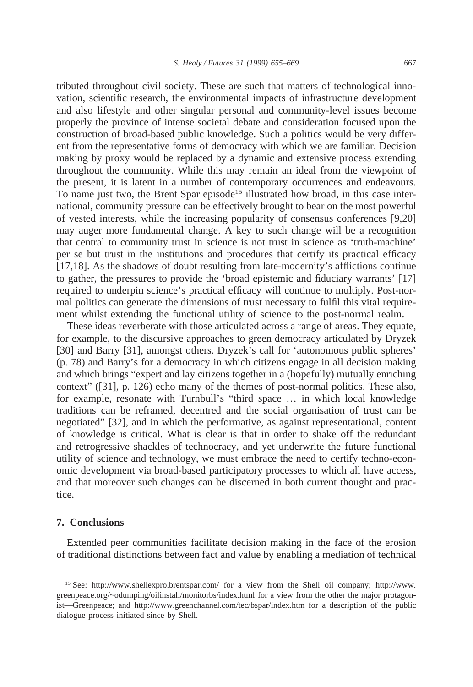tributed throughout civil society. These are such that matters of technological innovation, scientific research, the environmental impacts of infrastructure development and also lifestyle and other singular personal and community-level issues become properly the province of intense societal debate and consideration focused upon the construction of broad-based public knowledge. Such a politics would be very different from the representative forms of democracy with which we are familiar. Decision making by proxy would be replaced by a dynamic and extensive process extending throughout the community. While this may remain an ideal from the viewpoint of the present, it is latent in a number of contemporary occurrences and endeavours. To name just two, the Brent Spar episode<sup>15</sup> illustrated how broad, in this case international, community pressure can be effectively brought to bear on the most powerful of vested interests, while the increasing popularity of consensus conferences [9,20] may auger more fundamental change. A key to such change will be a recognition that central to community trust in science is not trust in science as 'truth-machine' per se but trust in the institutions and procedures that certify its practical efficacy [17,18]. As the shadows of doubt resulting from late-modernity's afflictions continue to gather, the pressures to provide the 'broad epistemic and fiduciary warrants' [17] required to underpin science's practical efficacy will continue to multiply. Post-normal politics can generate the dimensions of trust necessary to fulfil this vital requirement whilst extending the functional utility of science to the post-normal realm.

These ideas reverberate with those articulated across a range of areas. They equate, for example, to the discursive approaches to green democracy articulated by Dryzek [30] and Barry [31], amongst others. Dryzek's call for 'autonomous public spheres' (p. 78) and Barry's for a democracy in which citizens engage in all decision making and which brings "expert and lay citizens together in a (hopefully) mutually enriching context" ([31], p. 126) echo many of the themes of post-normal politics. These also, for example, resonate with Turnbull's "third space … in which local knowledge traditions can be reframed, decentred and the social organisation of trust can be negotiated" [32], and in which the performative, as against representational, content of knowledge is critical. What is clear is that in order to shake off the redundant and retrogressive shackles of technocracy, and yet underwrite the future functional utility of science and technology, we must embrace the need to certify techno-economic development via broad-based participatory processes to which all have access, and that moreover such changes can be discerned in both current thought and practice.

## **7. Conclusions**

Extended peer communities facilitate decision making in the face of the erosion of traditional distinctions between fact and value by enabling a mediation of technical

<sup>15</sup> See: http://www.shellexpro.brentspar.com/ for a view from the Shell oil company; http://www. greenpeace.org/~odumping/oilinstall/monitorbs/index.html for a view from the other the major protagonist—Greenpeace; and http://www.greenchannel.com/tec/bspar/index.htm for a description of the public dialogue process initiated since by Shell.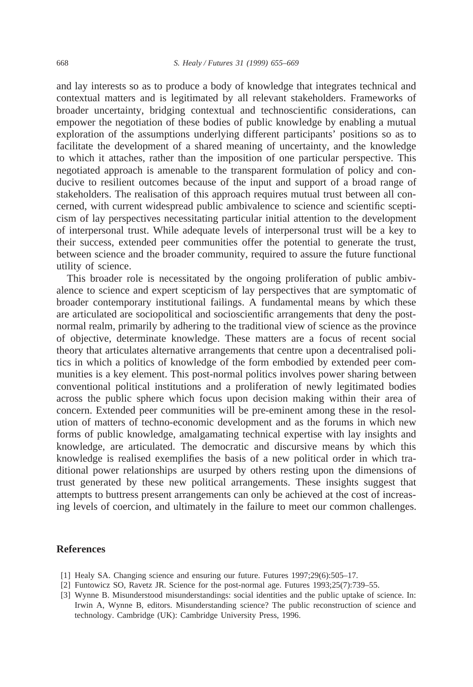and lay interests so as to produce a body of knowledge that integrates technical and contextual matters and is legitimated by all relevant stakeholders. Frameworks of broader uncertainty, bridging contextual and technoscientific considerations, can empower the negotiation of these bodies of public knowledge by enabling a mutual exploration of the assumptions underlying different participants' positions so as to facilitate the development of a shared meaning of uncertainty, and the knowledge to which it attaches, rather than the imposition of one particular perspective. This negotiated approach is amenable to the transparent formulation of policy and conducive to resilient outcomes because of the input and support of a broad range of stakeholders. The realisation of this approach requires mutual trust between all concerned, with current widespread public ambivalence to science and scientific scepticism of lay perspectives necessitating particular initial attention to the development of interpersonal trust. While adequate levels of interpersonal trust will be a key to their success, extended peer communities offer the potential to generate the trust, between science and the broader community, required to assure the future functional utility of science.

This broader role is necessitated by the ongoing proliferation of public ambivalence to science and expert scepticism of lay perspectives that are symptomatic of broader contemporary institutional failings. A fundamental means by which these are articulated are sociopolitical and socioscientific arrangements that deny the postnormal realm, primarily by adhering to the traditional view of science as the province of objective, determinate knowledge. These matters are a focus of recent social theory that articulates alternative arrangements that centre upon a decentralised politics in which a politics of knowledge of the form embodied by extended peer communities is a key element. This post-normal politics involves power sharing between conventional political institutions and a proliferation of newly legitimated bodies across the public sphere which focus upon decision making within their area of concern. Extended peer communities will be pre-eminent among these in the resolution of matters of techno-economic development and as the forums in which new forms of public knowledge, amalgamating technical expertise with lay insights and knowledge, are articulated. The democratic and discursive means by which this knowledge is realised exemplifies the basis of a new political order in which traditional power relationships are usurped by others resting upon the dimensions of trust generated by these new political arrangements. These insights suggest that attempts to buttress present arrangements can only be achieved at the cost of increasing levels of coercion, and ultimately in the failure to meet our common challenges.

#### **References**

- [1] Healy SA. Changing science and ensuring our future. Futures 1997;29(6):505–17.
- [2] Funtowicz SO, Ravetz JR. Science for the post-normal age. Futures 1993;25(7):739–55.
- [3] Wynne B. Misunderstood misunderstandings: social identities and the public uptake of science. In: Irwin A, Wynne B, editors. Misunderstanding science? The public reconstruction of science and technology. Cambridge (UK): Cambridge University Press, 1996.